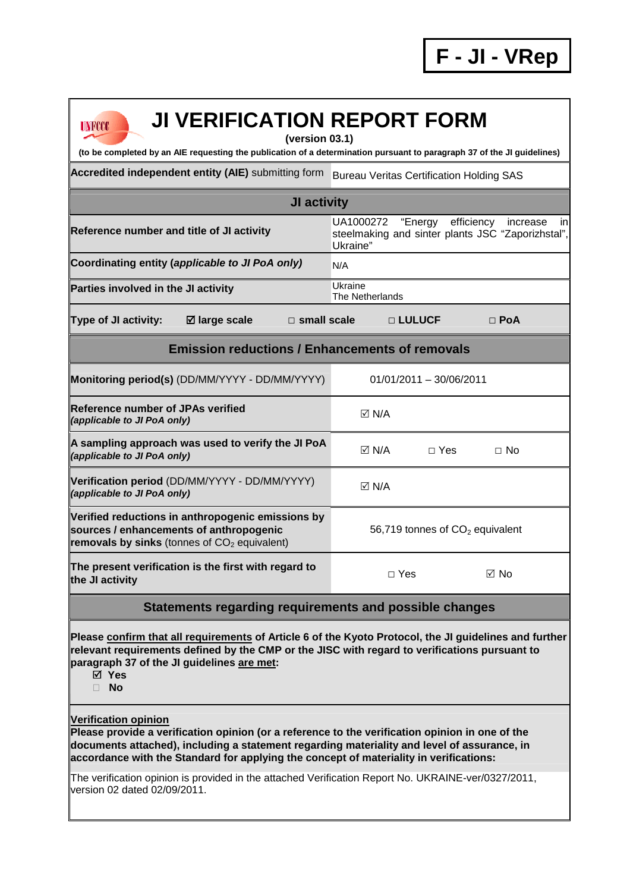## **JI VERIFICATION REPORT FORM (version 03.1)**

**(to be completed by an AIE requesting the publication of a determination pursuant to paragraph 37 of the JI guidelines)** 

**Accredited independent entity (AIE)** submitting form Bureau Veritas Certification Holding SAS

## **JI activity Reference number and title of JI activity** UA1000272 "Energy efficiency increase in steelmaking and sinter plants JSC "Zaporizhstal", Ukraine" Coordinating entity (*applicable to JI PoA only*) N/A **Parties involved in the JI activity Victor COVID EXAMPLE 2014** Ukraine The Netherlands **Type of JI activity: large scale □ small scale □ LULUCF □ PoA Emission reductions / Enhancements of removals Monitoring period(s)** (DD/MM/YYYY - DD/MM/YYYY) 01/01/2011 - 30/06/2011 **Reference number of JPAs verified Kererence number or JPAs verified**<br>(applicable to JI PoA only) **A sampling approach was used to verify the JI PoA No**<br>*(applicable to JI PoA only)* **Verification period** (DD/MM/YYYY - DD/MM/YYYY) **(applicable to JI PoA only)** N/A **Verified reductions in anthropogenic emissions by sources / enhancements of anthropogenic removals by sinks** (tonnes of CO<sub>2</sub> equivalent) 56,719 tonnes of  $CO<sub>2</sub>$  equivalent **The present verification is the first with regard to the JI activity** □ Yes No

## **Statements regarding requirements and possible changes**

**Please confirm that all requirements of Article 6 of the Kyoto Protocol, the JI guidelines and further relevant requirements defined by the CMP or the JISC with regard to verifications pursuant to paragraph 37 of the JI guidelines are met:** 

**Yes** 

**UNFCCC** 

**No** 

## **Verification opinion**

**Please provide a verification opinion (or a reference to the verification opinion in one of the documents attached), including a statement regarding materiality and level of assurance, in accordance with the Standard for applying the concept of materiality in verifications:** 

The verification opinion is provided in the attached Verification Report No. UKRAINE-ver/0327/2011, version 02 dated 02/09/2011.